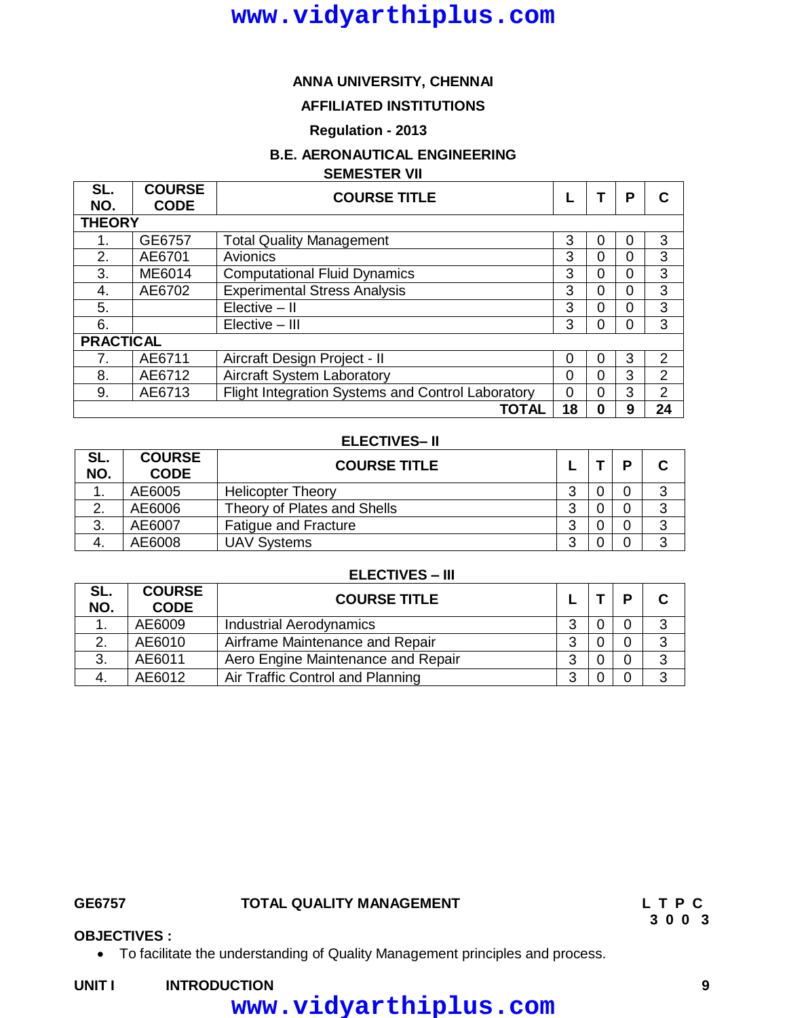#### **ANNA UNIVERSITY, CHENNAI**

### **AFFILIATED INSTITUTIONS**

#### **Regulation - 2013**

#### **B.E. AERONAUTICAL ENGINEERING SEMESTER VII**

| SL.<br>NO.       | <b>COURSE</b><br><b>CODE</b> | <b>COURSE TITLE</b>                               |          |   | Р        |    |  |  |
|------------------|------------------------------|---------------------------------------------------|----------|---|----------|----|--|--|
|                  | <b>THEORY</b>                |                                                   |          |   |          |    |  |  |
|                  | GE6757                       | <b>Total Quality Management</b>                   | 3        | 0 | 0        | 3  |  |  |
| 2.               | AE6701                       | Avionics                                          | 3        | 0 | 0        | 3  |  |  |
| 3.               | ME6014                       | <b>Computational Fluid Dynamics</b>               | 3        | 0 | 0        | 3  |  |  |
| 4.               | AE6702                       | <b>Experimental Stress Analysis</b>               | 3        | 0 | 0        | 3  |  |  |
| 5.               |                              | $Electric - II$                                   | 3        | 0 | $\Omega$ | 3  |  |  |
| 6.               |                              | $Elective - III$                                  | 3        | 0 | 0        | 3  |  |  |
| <b>PRACTICAL</b> |                              |                                                   |          |   |          |    |  |  |
|                  | AE6711                       | Aircraft Design Project - II                      | $\Omega$ | 0 | 3        | 2  |  |  |
| 8.               | AE6712                       | <b>Aircraft System Laboratory</b>                 | 0        | 0 | 3        | 2  |  |  |
| 9.               | AE6713                       | Flight Integration Systems and Control Laboratory | $\Omega$ | 0 | 3        | 2  |  |  |
|                  |                              | <b>TOTAL</b>                                      | 18       | 0 | 9        | 24 |  |  |

#### **ELECTIVES– II**

| SL.<br>NO. | <b>COURSE</b><br><b>CODE</b> | <b>COURSE TITLE</b>         |   | D |   |
|------------|------------------------------|-----------------------------|---|---|---|
|            | AE6005                       | <b>Helicopter Theory</b>    |   |   | ົ |
|            | AE6006                       | Theory of Plates and Shells |   |   |   |
| 3.         | AE6007                       | <b>Fatigue and Fracture</b> | ⌒ |   | ົ |
| -4.        | AE6008                       | <b>UAV Systems</b>          | ົ |   |   |

#### **ELECTIVES – III**

| SL.<br>NO. | <b>COURSE</b><br><b>CODE</b> | <b>COURSE TITLE</b>                |   | D |   |
|------------|------------------------------|------------------------------------|---|---|---|
|            | AE6009                       | <b>Industrial Aerodynamics</b>     | ⌒ |   | ົ |
|            | AE6010                       | Airframe Maintenance and Repair    |   |   |   |
| 3.         | AE6011                       | Aero Engine Maintenance and Repair |   |   | າ |
|            | AE6012                       | Air Traffic Control and Planning   | ⌒ |   |   |

#### **GE6757 TOTAL QUALITY MANAGEMENT L T P C**

### **OBJECTIVES :**

To facilitate the understanding of Quality Management principles and process.

#### **UNIT I INTRODUCTION 9**

## **www.vidyarthiplus.com**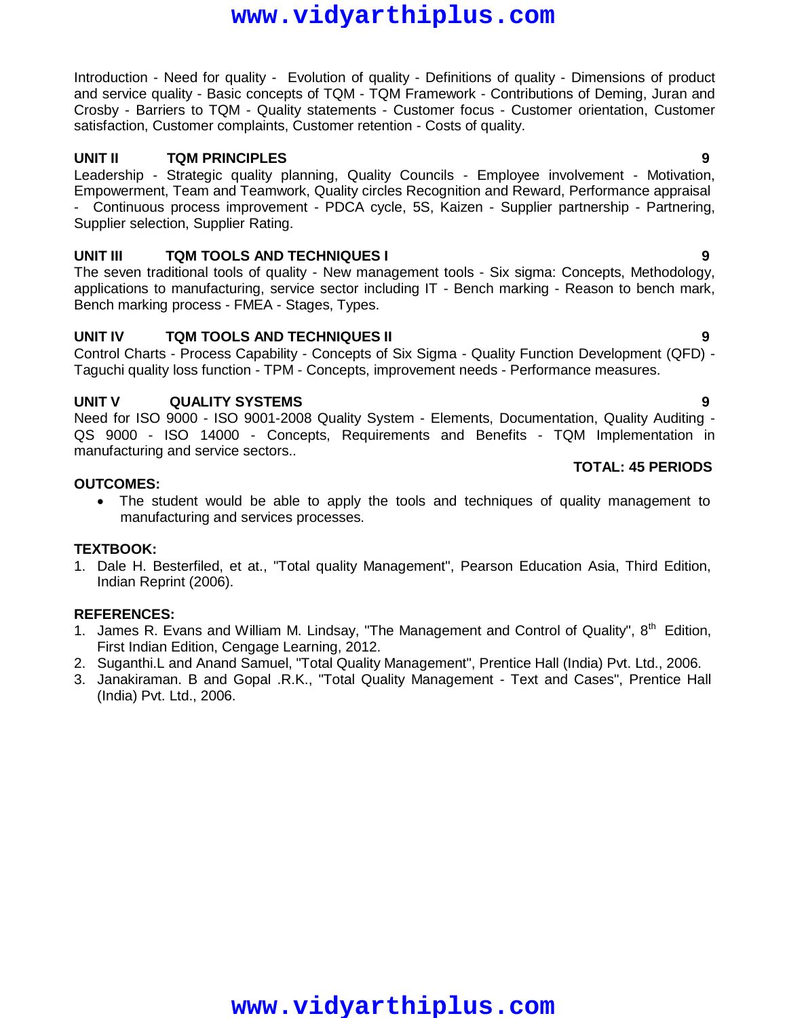Introduction - Need for quality - Evolution of quality - Definitions of quality - Dimensions of product and service quality - Basic concepts of TQM - TQM Framework - Contributions of Deming, Juran and Crosby - Barriers to TQM - Quality statements - Customer focus - Customer orientation, Customer satisfaction, Customer complaints, Customer retention - Costs of quality.

#### **UNIT II TQM PRINCIPLES 9**

Leadership - Strategic quality planning, Quality Councils - Employee involvement - Motivation, Empowerment, Team and Teamwork, Quality circles Recognition and Reward, Performance appraisal - Continuous process improvement - PDCA cycle, 5S, Kaizen - Supplier partnership - Partnering, Supplier selection, Supplier Rating.

#### **UNIT III TQM TOOLS AND TECHNIQUES I 9**

The seven traditional tools of quality - New management tools - Six sigma: Concepts, Methodology, applications to manufacturing, service sector including IT - Bench marking - Reason to bench mark, Bench marking process - FMEA - Stages, Types.

### **UNIT IV TQM TOOLS AND TECHNIQUES II 9**

Control Charts - Process Capability - Concepts of Six Sigma - Quality Function Development (QFD) - Taguchi quality loss function - TPM - Concepts, improvement needs - Performance measures.

#### **UNIT V QUALITY SYSTEMS 9**

Need for ISO 9000 - ISO 9001-2008 Quality System - Elements, Documentation, Quality Auditing - QS 9000 - ISO 14000 - Concepts, Requirements and Benefits - TQM Implementation in manufacturing and service sectors..

#### **OUTCOMES:**

 The student would be able to apply the tools and techniques of quality management to manufacturing and services processes.

#### **TEXTBOOK:**

1. Dale H. Besterfiled, et at., "Total quality Management", Pearson Education Asia, Third Edition, Indian Reprint (2006).

#### **REFERENCES:**

- 1. James R. Evans and William M. Lindsay, "The Management and Control of Quality", 8<sup>th</sup> Edition, First Indian Edition, Cengage Learning, 2012.
- 2. Suganthi.L and Anand Samuel, "Total Quality Management", Prentice Hall (India) Pvt. Ltd., 2006.
- 3. Janakiraman. B and Gopal .R.K., "Total Quality Management Text and Cases", Prentice Hall (India) Pvt. Ltd., 2006.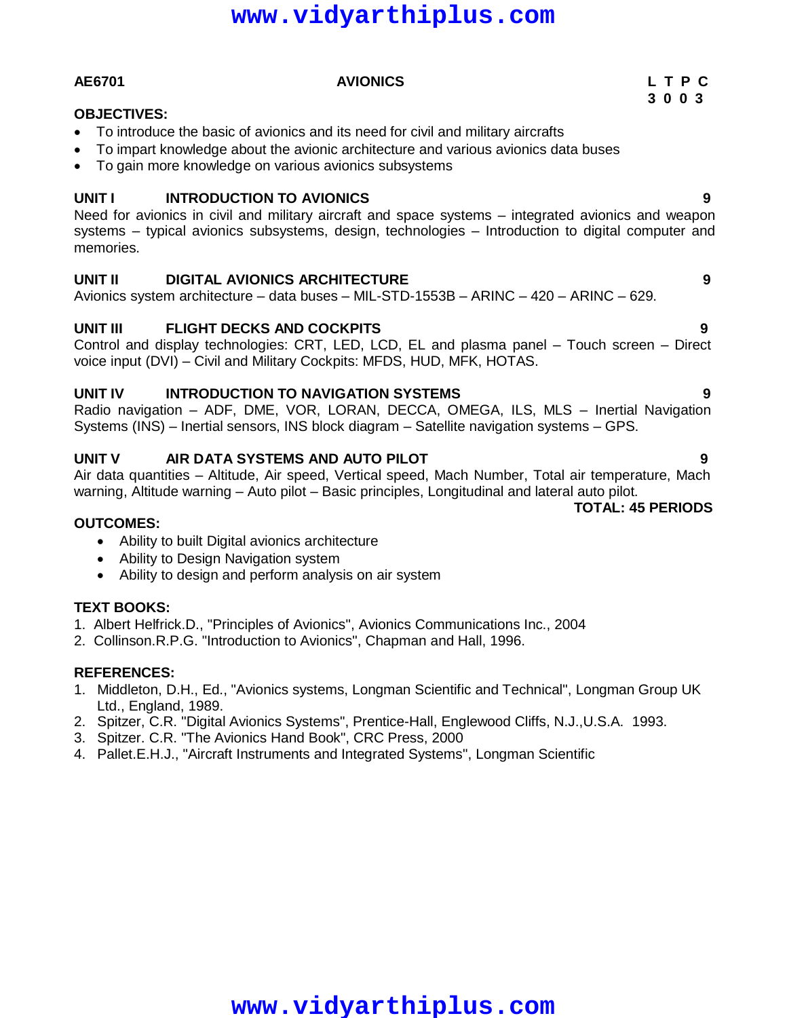#### **AE6701 AVIONICS L T P C**

#### **OBJECTIVES:**

- To introduce the basic of avionics and its need for civil and military aircrafts
- To impart knowledge about the avionic architecture and various avionics data buses
- To gain more knowledge on various avionics subsystems

### **UNIT I INTRODUCTION TO AVIONICS 9**

Need for avionics in civil and military aircraft and space systems – integrated avionics and weapon systems – typical avionics subsystems, design, technologies – Introduction to digital computer and memories.

### **UNIT II DIGITAL AVIONICS ARCHITECTURE 9**

Avionics system architecture – data buses – MIL-STD-1553B – ARINC – 420 – ARINC – 629.

### **UNIT III FLIGHT DECKS AND COCKPITS 9**

Control and display technologies: CRT, LED, LCD, EL and plasma panel – Touch screen – Direct voice input (DVI) – Civil and Military Cockpits: MFDS, HUD, MFK, HOTAS.

### **UNIT IV INTRODUCTION TO NAVIGATION SYSTEMS 9**

Radio navigation – ADF, DME, VOR, LORAN, DECCA, OMEGA, ILS, MLS – Inertial Navigation Systems (INS) – Inertial sensors, INS block diagram – Satellite navigation systems – GPS.

### **UNIT V AIR DATA SYSTEMS AND AUTO PILOT 9**

Air data quantities – Altitude, Air speed, Vertical speed, Mach Number, Total air temperature, Mach warning, Altitude warning – Auto pilot – Basic principles, Longitudinal and lateral auto pilot.

#### **OUTCOMES:**

- Ability to built Digital avionics architecture
- Ability to Design Navigation system
- Ability to design and perform analysis on air system

### **TEXT BOOKS:**

- 1. Albert Helfrick.D., "Principles of Avionics", Avionics Communications Inc., 2004
- 2. Collinson.R.P.G. "Introduction to Avionics", Chapman and Hall, 1996.

#### **REFERENCES:**

- 1. Middleton, D.H., Ed., "Avionics systems, Longman Scientific and Technical", Longman Group UK Ltd., England, 1989.
- 2. Spitzer, C.R. "Digital Avionics Systems", Prentice-Hall, Englewood Cliffs, N.J.,U.S.A. 1993.
- 3. Spitzer. C.R. "The Avionics Hand Book", CRC Press, 2000
- 4. Pallet.E.H.J., "Aircraft Instruments and Integrated Systems", Longman Scientific

**3 0 0 3**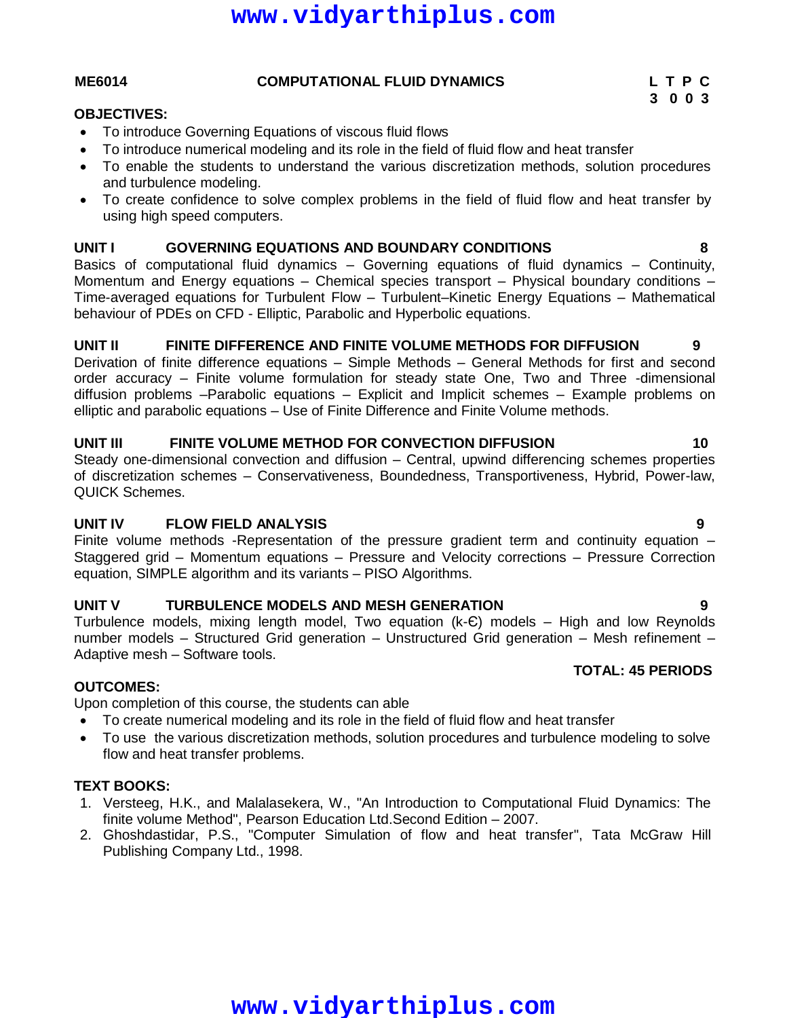### **ME6014 COMPUTATIONAL FLUID DYNAMICS L T P C**

## **3 0 0 3**

#### **OBJECTIVES:**

- To introduce Governing Equations of viscous fluid flows
- To introduce numerical modeling and its role in the field of fluid flow and heat transfer
- To enable the students to understand the various discretization methods, solution procedures and turbulence modeling.
- To create confidence to solve complex problems in the field of fluid flow and heat transfer by using high speed computers.

#### **UNIT I GOVERNING EQUATIONS AND BOUNDARY CONDITIONS 8**

Basics of computational fluid dynamics – Governing equations of fluid dynamics – Continuity, Momentum and Energy equations – Chemical species transport – Physical boundary conditions – Time-averaged equations for Turbulent Flow – Turbulent–Kinetic Energy Equations – Mathematical behaviour of PDEs on CFD - Elliptic, Parabolic and Hyperbolic equations.

### **UNIT II FINITE DIFFERENCE AND FINITE VOLUME METHODS FOR DIFFUSION 9**

Derivation of finite difference equations – Simple Methods – General Methods for first and second order accuracy – Finite volume formulation for steady state One, Two and Three -dimensional diffusion problems –Parabolic equations – Explicit and Implicit schemes – Example problems on elliptic and parabolic equations – Use of Finite Difference and Finite Volume methods.

### **UNIT III FINITE VOLUME METHOD FOR CONVECTION DIFFUSION 10**

Steady one-dimensional convection and diffusion – Central, upwind differencing schemes properties of discretization schemes – Conservativeness, Boundedness, Transportiveness, Hybrid, Power-law, QUICK Schemes.

### **UNIT IV FLOW FIELD ANALYSIS 9**

Finite volume methods -Representation of the pressure gradient term and continuity equation – Staggered grid – Momentum equations – Pressure and Velocity corrections – Pressure Correction equation, SIMPLE algorithm and its variants – PISO Algorithms.

### **UNIT V TURBULENCE MODELS AND MESH GENERATION 9**

Turbulence models, mixing length model, Two equation (k-Є) models – High and low Reynolds number models – Structured Grid generation – Unstructured Grid generation – Mesh refinement – Adaptive mesh – Software tools.

### **OUTCOMES:**

Upon completion of this course, the students can able

- To create numerical modeling and its role in the field of fluid flow and heat transfer
- To use the various discretization methods, solution procedures and turbulence modeling to solve flow and heat transfer problems.

### **TEXT BOOKS:**

- 1. Versteeg, H.K., and Malalasekera, W., "An Introduction to Computational Fluid Dynamics: The finite volume Method", Pearson Education Ltd.Second Edition – 2007.
- 2. Ghoshdastidar, P.S., "Computer Simulation of flow and heat transfer", Tata McGraw Hill Publishing Company Ltd., 1998.

## **www.vidyarthiplus.com**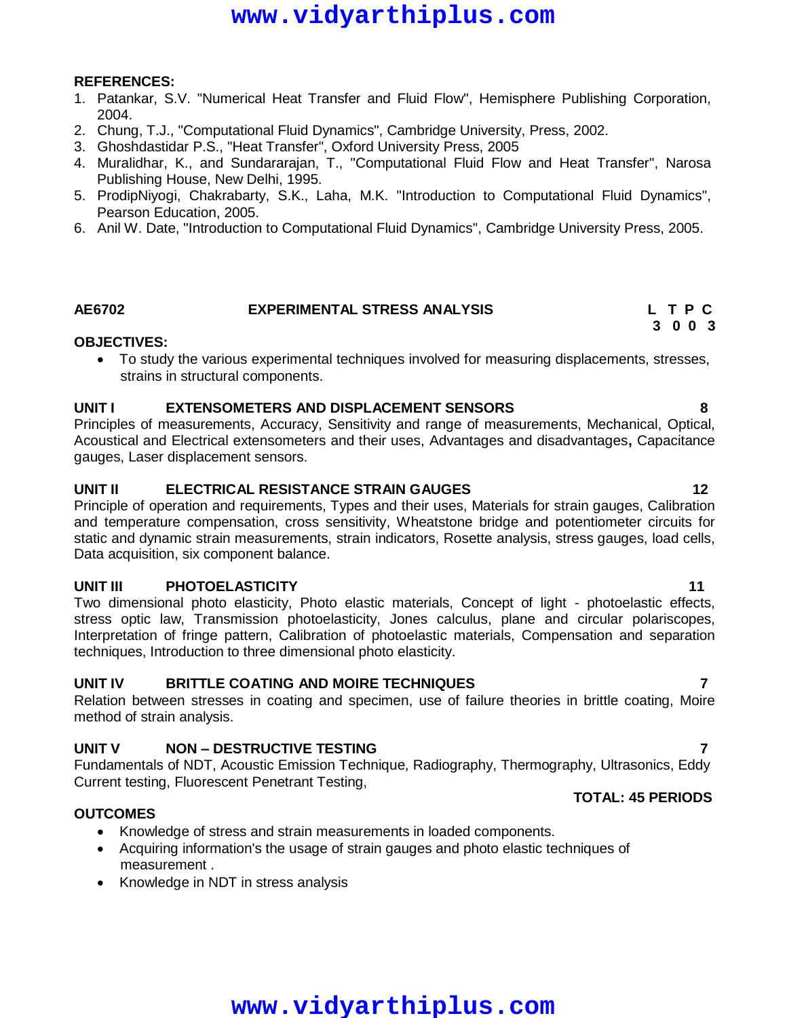#### **REFERENCES:**

- 1. Patankar, S.V. "Numerical Heat Transfer and Fluid Flow", Hemisphere Publishing Corporation, 2004.
- 2. Chung, T.J., "Computational Fluid Dynamics", Cambridge University, Press, 2002.
- 3. Ghoshdastidar P.S., "Heat Transfer", Oxford University Press, 2005
- 4. Muralidhar, K., and Sundararajan, T., "Computational Fluid Flow and Heat Transfer", Narosa Publishing House, New Delhi, 1995.
- 5. ProdipNiyogi, Chakrabarty, S.K., Laha, M.K. "Introduction to Computational Fluid Dynamics", Pearson Education, 2005.
- 6. Anil W. Date, "Introduction to Computational Fluid Dynamics", Cambridge University Press, 2005.

### **AE6702 EXPERIMENTAL STRESS ANALYSIS L T P C**

#### **OBJECTIVES:**

 To study the various experimental techniques involved for measuring displacements, stresses, strains in structural components.

#### **UNIT I EXTENSOMETERS AND DISPLACEMENT SENSORS 8**

Principles of measurements, Accuracy, Sensitivity and range of measurements, Mechanical, Optical, Acoustical and Electrical extensometers and their uses, Advantages and disadvantages**,** Capacitance gauges, Laser displacement sensors.

#### **UNIT II ELECTRICAL RESISTANCE STRAIN GAUGES 12**

Principle of operation and requirements, Types and their uses, Materials for strain gauges, Calibration and temperature compensation, cross sensitivity, Wheatstone bridge and potentiometer circuits for static and dynamic strain measurements, strain indicators, Rosette analysis, stress gauges, load cells, Data acquisition, six component balance.

#### **UNIT III PHOTOELASTICITY 11**

Two dimensional photo elasticity, Photo elastic materials, Concept of light - photoelastic effects, stress optic law, Transmission photoelasticity, Jones calculus, plane and circular polariscopes, Interpretation of fringe pattern, Calibration of photoelastic materials, Compensation and separation techniques, Introduction to three dimensional photo elasticity.

#### **UNIT IV BRITTLE COATING AND MOIRE TECHNIQUES 7**

Relation between stresses in coating and specimen, use of failure theories in brittle coating, Moire method of strain analysis.

### **UNIT V NON – DESTRUCTIVE TESTING 7**

Fundamentals of NDT, Acoustic Emission Technique, Radiography, Thermography, Ultrasonics, Eddy Current testing, Fluorescent Penetrant Testing,

#### **OUTCOMES**

- Knowledge of stress and strain measurements in loaded components.
- Acquiring information's the usage of strain gauges and photo elastic techniques of measurement .
- Knowledge in NDT in stress analysis

## **www.vidyarthiplus.com**

**TOTAL: 45 PERIODS**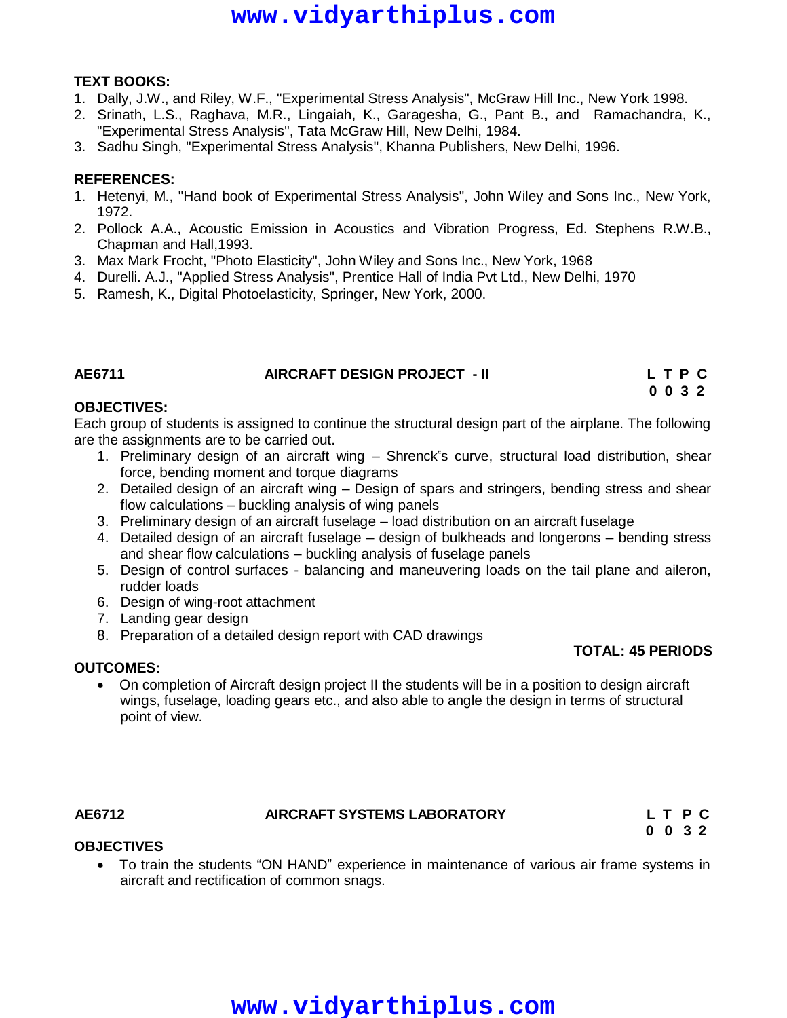#### **TEXT BOOKS:**

- 1. Dally, J.W., and Riley, W.F., "Experimental Stress Analysis", McGraw Hill Inc., New York 1998.
- 2. Srinath, L.S., Raghava, M.R., Lingaiah, K., Garagesha, G., Pant B., and Ramachandra, K., "Experimental Stress Analysis", Tata McGraw Hill, New Delhi, 1984.
- 3. Sadhu Singh, "Experimental Stress Analysis", Khanna Publishers, New Delhi, 1996.

### **REFERENCES:**

- 1. Hetenyi, M., "Hand book of Experimental Stress Analysis", John Wiley and Sons Inc., New York, 1972.
- 2. Pollock A.A., Acoustic Emission in Acoustics and Vibration Progress, Ed. Stephens R.W.B., Chapman and Hall,1993.
- 3. Max Mark Frocht, "Photo Elasticity", John Wiley and Sons Inc., New York, 1968
- 4. Durelli. A.J., "Applied Stress Analysis", Prentice Hall of India Pvt Ltd., New Delhi, 1970
- 5. Ramesh, K., Digital Photoelasticity, Springer, New York, 2000.

### **AE6711 AIRCRAFT DESIGN PROJECT - II L T P C**

**0 0 3 2**

### **OBJECTIVES:**

Each group of students is assigned to continue the structural design part of the airplane. The following are the assignments are to be carried out.

- 1. Preliminary design of an aircraft wing Shrenck"s curve, structural load distribution, shear force, bending moment and torque diagrams
- 2. Detailed design of an aircraft wing Design of spars and stringers, bending stress and shear flow calculations – buckling analysis of wing panels
- 3. Preliminary design of an aircraft fuselage load distribution on an aircraft fuselage
- 4. Detailed design of an aircraft fuselage design of bulkheads and longerons bending stress and shear flow calculations – buckling analysis of fuselage panels
- 5. Design of control surfaces balancing and maneuvering loads on the tail plane and aileron, rudder loads
- 6. Design of wing-root attachment
- 7. Landing gear design
- 8. Preparation of a detailed design report with CAD drawings

### **OUTCOMES:**

 On completion of Aircraft design project II the students will be in a position to design aircraft wings, fuselage, loading gears etc., and also able to angle the design in terms of structural point of view.

#### **AE6712 AIRCRAFT SYSTEMS LABORATORY L T P C**

**0 0 3 2**

**TOTAL: 45 PERIODS**

#### **OBJECTIVES**

 To train the students "ON HAND" experience in maintenance of various air frame systems in aircraft and rectification of common snags.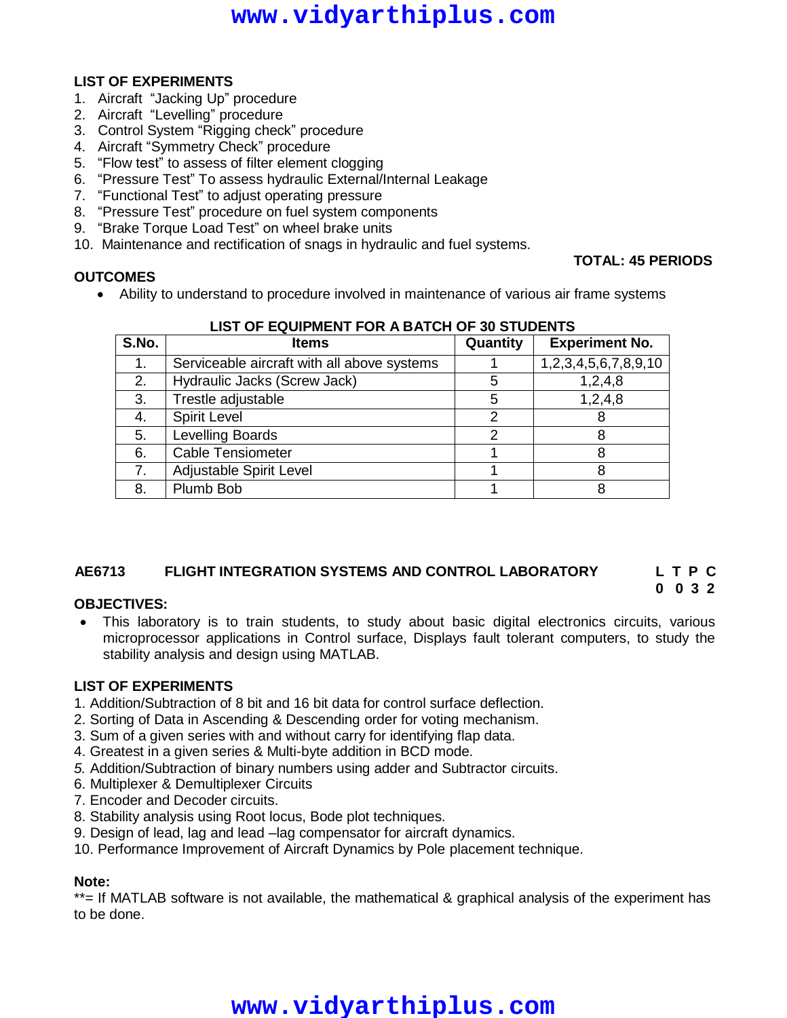#### **LIST OF EXPERIMENTS**

- 1. Aircraft "Jacking Up" procedure
- 2. Aircraft "Levelling" procedure
- 3. Control System "Rigging check" procedure
- 4. Aircraft "Symmetry Check" procedure
- 5. "Flow test" to assess of filter element clogging
- 6. "Pressure Test" To assess hydraulic External/Internal Leakage
- 7. "Functional Test" to adjust operating pressure
- 8. "Pressure Test" procedure on fuel system components
- 9. "Brake Torque Load Test" on wheel brake units
- 10. Maintenance and rectification of snags in hydraulic and fuel systems.

#### **OUTCOMES**

Ability to understand to procedure involved in maintenance of various air frame systems

| S.No. | <b>Items</b>                                | Quantity | <b>Experiment No.</b> |
|-------|---------------------------------------------|----------|-----------------------|
| 1.    | Serviceable aircraft with all above systems |          | 1,2,3,4,5,6,7,8,9,10  |
| 2.    | Hydraulic Jacks (Screw Jack)                | 5        | 1,2,4,8               |
| 3.    | Trestle adjustable                          | 5        | 1,2,4,8               |
| 4.    | <b>Spirit Level</b>                         |          |                       |
| 5.    | Levelling Boards                            |          |                       |
| 6.    | <b>Cable Tensiometer</b>                    |          |                       |
| 7.    | Adjustable Spirit Level                     |          |                       |
| 8.    | Plumb Bob                                   |          |                       |

#### **LIST OF EQUIPMENT FOR A BATCH OF 30 STUDENTS**

**TOTAL: 45 PERIODS**

**0 0 3 2**

### **AE6713 FLIGHT INTEGRATION SYSTEMS AND CONTROL LABORATORY L T P C**

#### **OBJECTIVES:**

 This laboratory is to train students, to study about basic digital electronics circuits, various microprocessor applications in Control surface, Displays fault tolerant computers, to study the stability analysis and design using MATLAB.

#### **LIST OF EXPERIMENTS**

- 1. Addition/Subtraction of 8 bit and 16 bit data for control surface deflection.
- 2. Sorting of Data in Ascending & Descending order for voting mechanism.
- 3. Sum of a given series with and without carry for identifying flap data.
- 4. Greatest in a given series & Multi-byte addition in BCD mode.
- *5.* Addition/Subtraction of binary numbers using adder and Subtractor circuits.
- 6. Multiplexer & Demultiplexer Circuits
- 7. Encoder and Decoder circuits.
- 8. Stability analysis using Root locus, Bode plot techniques.
- 9. Design of lead, lag and lead –lag compensator for aircraft dynamics.
- 10. Performance Improvement of Aircraft Dynamics by Pole placement technique.

#### **Note:**

\*\*= If MATLAB software is not available, the mathematical & graphical analysis of the experiment has to be done.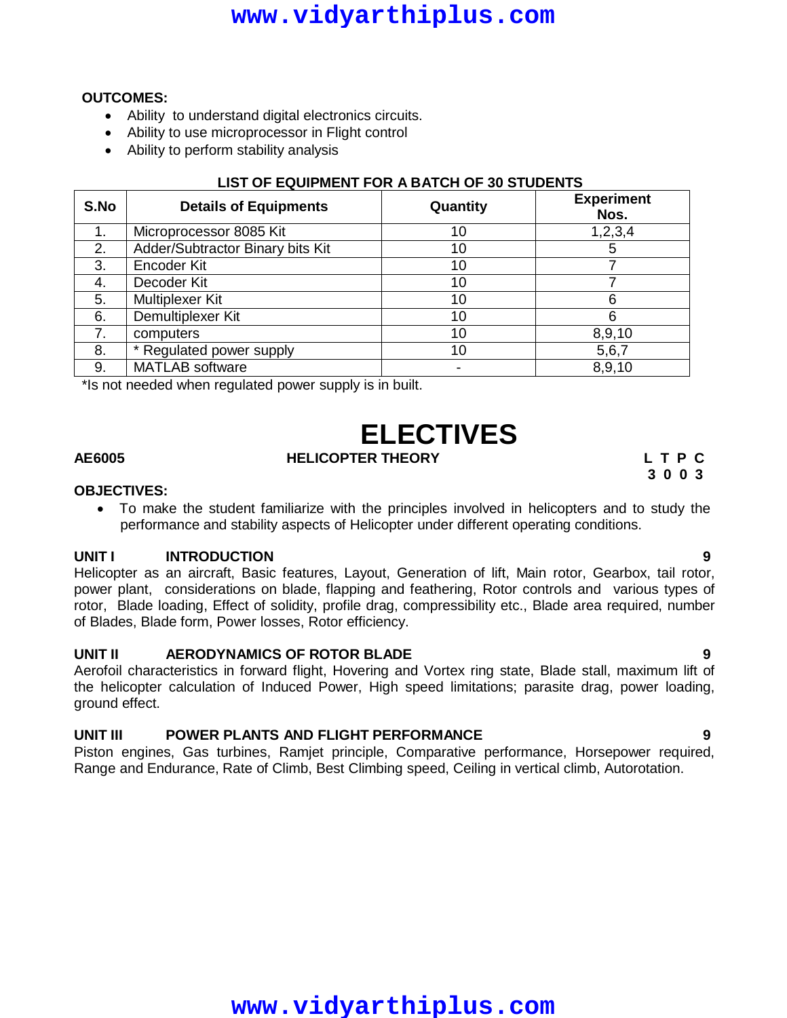#### **OUTCOMES:**

- Ability to understand digital electronics circuits.
- Ability to use microprocessor in Flight control
- Ability to perform stability analysis

#### **LIST OF EQUIPMENT FOR A BATCH OF 30 STUDENTS**

| S.No | <b>Details of Equipments</b>     | Quantity | <b>Experiment</b><br>Nos. |
|------|----------------------------------|----------|---------------------------|
| 1.   | Microprocessor 8085 Kit          | 10       | 1,2,3,4                   |
| 2.   | Adder/Subtractor Binary bits Kit | 10       | 5                         |
| 3.   | <b>Encoder Kit</b>               | 10       |                           |
| 4.   | Decoder Kit                      | 10       |                           |
| 5.   | Multiplexer Kit                  | 10       | հ                         |
| 6.   | Demultiplexer Kit                | 10       | 6                         |
| 7.   | computers                        | 10       | 8,9,10                    |
| 8.   | * Regulated power supply         | 10       | 5,6,7                     |
| 9.   | <b>MATLAB</b> software           |          | 8,9,10                    |

\*Is not needed when regulated power supply is in built.

## **ELECTIVES AE6005 HELICOPTER THEORY L T P C**

# **3 0 0 3**

#### **OBJECTIVES:**

 To make the student familiarize with the principles involved in helicopters and to study the performance and stability aspects of Helicopter under different operating conditions.

#### **UNIT I INTRODUCTION 9**

Helicopter as an aircraft, Basic features, Layout, Generation of lift, Main rotor, Gearbox, tail rotor, power plant, considerations on blade, flapping and feathering, Rotor controls and various types of rotor, Blade loading, Effect of solidity, profile drag, compressibility etc., Blade area required, number of Blades, Blade form, Power losses, Rotor efficiency.

### **UNIT II AERODYNAMICS OF ROTOR BLADE 9**

Aerofoil characteristics in forward flight, Hovering and Vortex ring state, Blade stall, maximum lift of the helicopter calculation of Induced Power, High speed limitations; parasite drag, power loading, ground effect.

### **UNIT III POWER PLANTS AND FLIGHT PERFORMANCE 9**

Piston engines, Gas turbines, Ramjet principle, Comparative performance, Horsepower required, Range and Endurance, Rate of Climb, Best Climbing speed, Ceiling in vertical climb, Autorotation.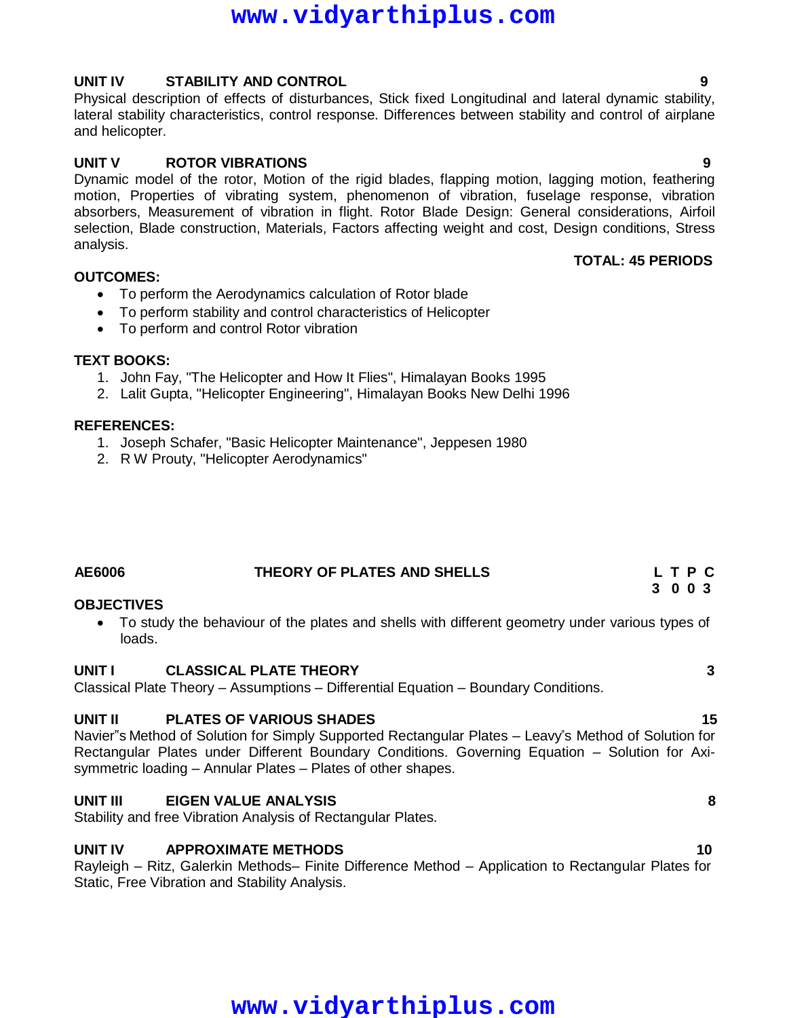#### **UNIT IV STABILITY AND CONTROL 9**

Physical description of effects of disturbances, Stick fixed Longitudinal and lateral dynamic stability, lateral stability characteristics, control response. Differences between stability and control of airplane and helicopter.

#### **UNIT V ROTOR VIBRATIONS 9**

Dynamic model of the rotor. Motion of the rigid blades, flapping motion, lagging motion, feathering motion, Properties of vibrating system, phenomenon of vibration, fuselage response, vibration absorbers, Measurement of vibration in flight. Rotor Blade Design: General considerations, Airfoil selection, Blade construction, Materials, Factors affecting weight and cost, Design conditions, Stress analysis. **TOTAL: 45 PERIODS**

#### **OUTCOMES:**

- To perform the Aerodynamics calculation of Rotor blade
- To perform stability and control characteristics of Helicopter
- To perform and control Rotor vibration

#### **TEXT BOOKS:**

- 1. John Fay, "The Helicopter and How It Flies", Himalayan Books 1995
- 2. Lalit Gupta, "Helicopter Engineering", Himalayan Books New Delhi 1996

#### **REFERENCES:**

- 1. Joseph Schafer, "Basic Helicopter Maintenance", Jeppesen 1980
- 2. R W Prouty, "Helicopter Aerodynamics"

#### **AE6006 THEORY OF PLATES AND SHELLS L T P C 3 0 0 3**

#### **OBJECTIVES**

 To study the behaviour of the plates and shells with different geometry under various types of loads.

#### **UNIT I CLASSICAL PLATE THEORY 3**

Classical Plate Theory – Assumptions – Differential Equation – Boundary Conditions.

#### **UNIT II PLATES OF VARIOUS SHADES 15**

Navier"s Method of Solution for Simply Supported Rectangular Plates – Leavy"s Method of Solution for Rectangular Plates under Different Boundary Conditions. Governing Equation – Solution for Axisymmetric loading – Annular Plates – Plates of other shapes.

#### **UNIT III EIGEN VALUE ANALYSIS 8**

Stability and free Vibration Analysis of Rectangular Plates.

#### **UNIT IV APPROXIMATE METHODS 10**

Rayleigh – Ritz, Galerkin Methods– Finite Difference Method – Application to Rectangular Plates for Static, Free Vibration and Stability Analysis.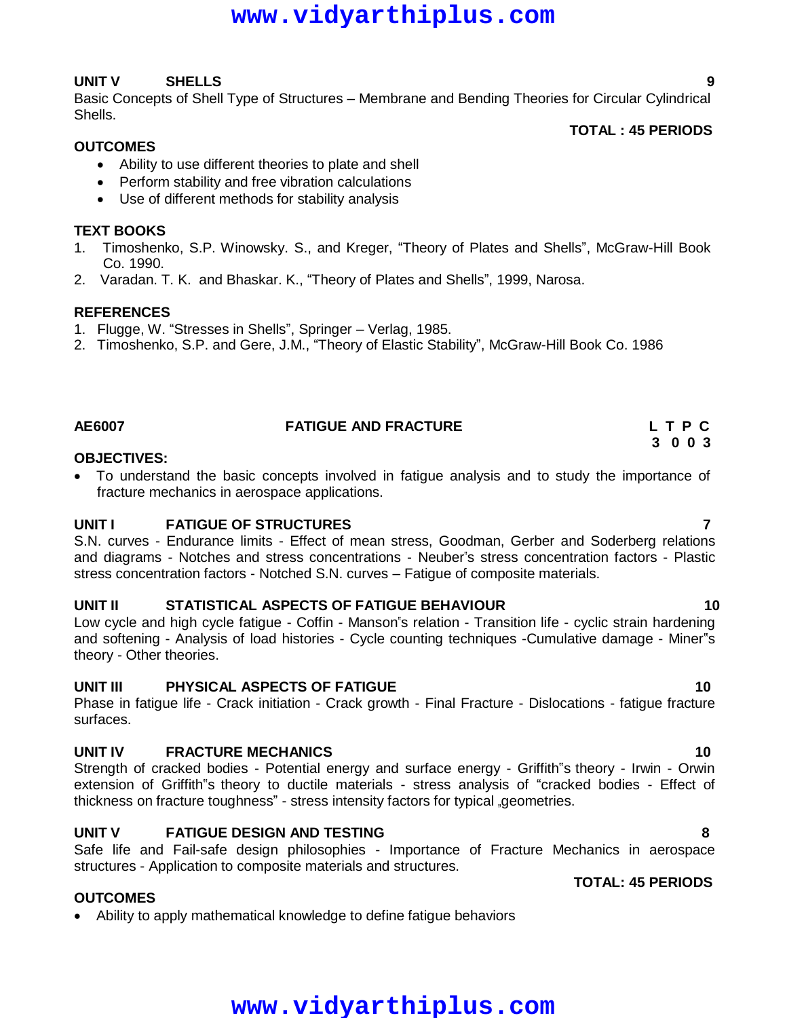#### **UNIT V SHELLS 9**

Basic Concepts of Shell Type of Structures – Membrane and Bending Theories for Circular Cylindrical Shells. **TOTAL : 45 PERIODS**

#### **OUTCOMES**

- Ability to use different theories to plate and shell
- Perform stability and free vibration calculations
- Use of different methods for stability analysis

#### **TEXT BOOKS**

- 1. Timoshenko, S.P. Winowsky. S., and Kreger, "Theory of Plates and Shells", McGraw-Hill Book Co. 1990.
- 2. Varadan. T. K. and Bhaskar. K., "Theory of Plates and Shells", 1999, Narosa.

#### **REFERENCES**

- 1. Flugge, W. "Stresses in Shells", Springer Verlag, 1985.
- 2. Timoshenko, S.P. and Gere, J.M., "Theory of Elastic Stability", McGraw-Hill Book Co. 1986

### **AE6007 FATIGUE AND FRACTURE L T P C**

#### **OBJECTIVES:**

 To understand the basic concepts involved in fatigue analysis and to study the importance of fracture mechanics in aerospace applications.

#### **UNIT I FATIGUE OF STRUCTURES 7**

S.N. curves - Endurance limits - Effect of mean stress, Goodman, Gerber and Soderberg relations and diagrams - Notches and stress concentrations - Neuber"s stress concentration factors - Plastic stress concentration factors - Notched S.N. curves – Fatigue of composite materials.

#### **UNIT II STATISTICAL ASPECTS OF FATIGUE BEHAVIOUR 10**

Low cycle and high cycle fatigue - Coffin - Manson"s relation - Transition life - cyclic strain hardening and softening - Analysis of load histories - Cycle counting techniques -Cumulative damage - Miner"s theory - Other theories.

#### **UNIT III PHYSICAL ASPECTS OF FATIGUE 10**

Phase in fatigue life - Crack initiation - Crack growth - Final Fracture - Dislocations - fatigue fracture surfaces.

#### **UNIT IV FRACTURE MECHANICS 10**

Strength of cracked bodies - Potential energy and surface energy - Griffith"s theory - Irwin - Orwin extension of Griffith"s theory to ductile materials - stress analysis of "cracked bodies - Effect of thickness on fracture toughness" - stress intensity factors for typical "geometries.

#### **UNIT V FATIGUE DESIGN AND TESTING 8**

Safe life and Fail-safe design philosophies - Importance of Fracture Mechanics in aerospace structures - Application to composite materials and structures.

**www.vidyarthiplus.com**

#### **OUTCOMES**

Ability to apply mathematical knowledge to define fatigue behaviors

**TOTAL: 45 PERIODS**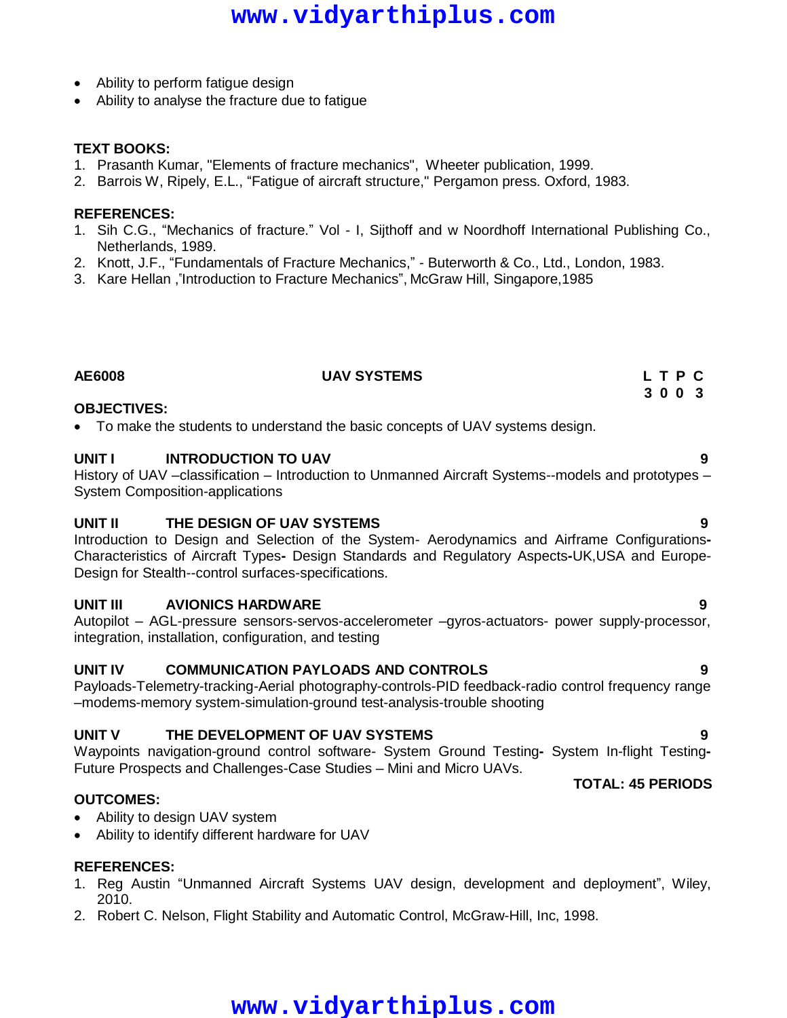- Ability to perform fatigue design
- Ability to analyse the fracture due to fatigue

#### **TEXT BOOKS:**

- 1. Prasanth Kumar, "Elements of fracture mechanics", Wheeter publication, 1999.
- 2. Barrois W, Ripely, E.L., "Fatigue of aircraft structure," Pergamon press. Oxford, 1983.

#### **REFERENCES:**

- 1. Sih C.G., "Mechanics of fracture." Vol I, Sijthoff and w Noordhoff International Publishing Co., Netherlands, 1989.
- 2. Knott, J.F., "Fundamentals of Fracture Mechanics," Buterworth & Co., Ltd., London, 1983.
- 3. Kare Hellan ,"Introduction to Fracture Mechanics", McGraw Hill, Singapore,1985

### **AE6008 UAV SYSTEMS L T P C**

### **3 0 0 3**

#### **OBJECTIVES:**

To make the students to understand the basic concepts of UAV systems design.

#### **UNIT I INTRODUCTION TO UAV 9**

History of UAV –classification – Introduction to Unmanned Aircraft Systems--models and prototypes – System Composition-applications

#### **UNIT II THE DESIGN OF UAV SYSTEMS 9**

Introduction to Design and Selection of the System- Aerodynamics and Airframe Configurations**-**Characteristics of Aircraft Types**-** Design Standards and Regulatory Aspects**-**UK,USA and Europe-Design for Stealth--control surfaces-specifications.

#### **UNIT III AVIONICS HARDWARE 9**

Autopilot – AGL-pressure sensors-servos-accelerometer –gyros-actuators- power supply-processor, integration, installation, configuration, and testing

#### **UNIT IV COMMUNICATION PAYLOADS AND CONTROLS 9**

Payloads-Telemetry-tracking-Aerial photography-controls-PID feedback-radio control frequency range –modems-memory system-simulation-ground test-analysis-trouble shooting

#### **UNIT V THE DEVELOPMENT OF UAV SYSTEMS 9**

Waypoints navigation-ground control software- System Ground Testing**-** System In-flight Testing**-**Future Prospects and Challenges-Case Studies – Mini and Micro UAVs.

#### **OUTCOMES:**

- Ability to design UAV system
- Ability to identify different hardware for UAV

#### **REFERENCES:**

- 1. Reg Austin "Unmanned Aircraft Systems UAV design, development and deployment", Wiley, 2010.
- 2. Robert C. Nelson, Flight Stability and Automatic Control, McGraw-Hill, Inc, 1998.

## **www.vidyarthiplus.com**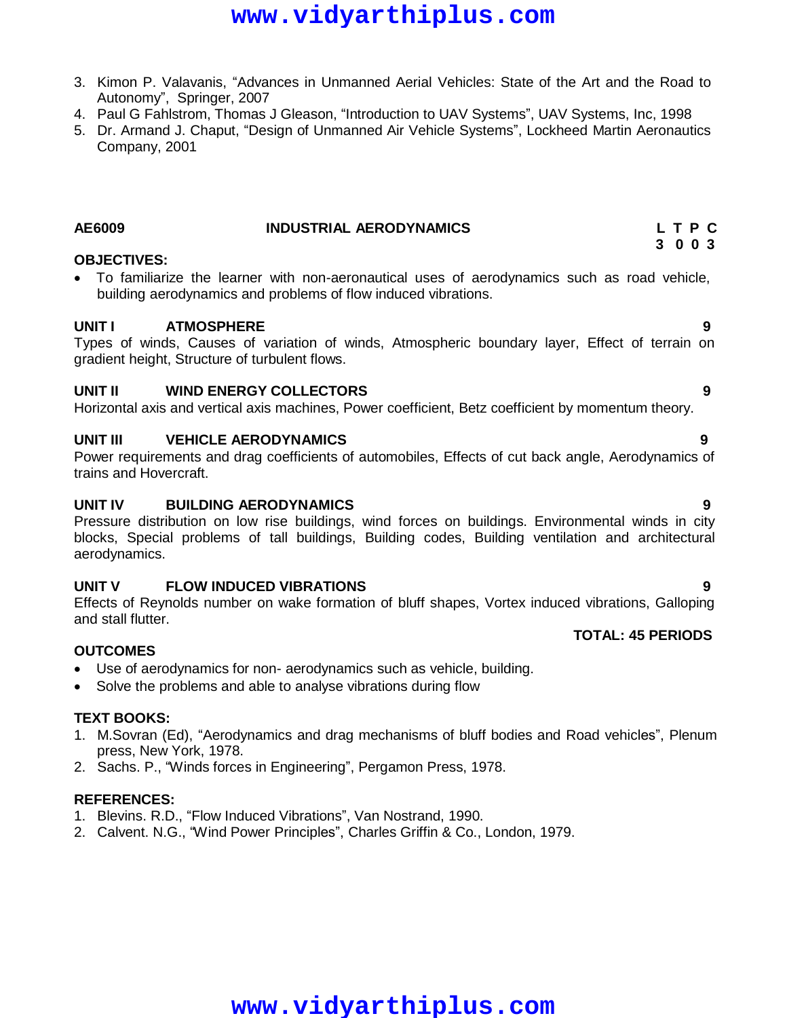- 3. Kimon P. Valavanis, "Advances in Unmanned Aerial Vehicles: State of the Art and the Road to Autonomy", Springer, 2007
- 4. Paul G Fahlstrom, Thomas J Gleason, "Introduction to UAV Systems", UAV Systems, Inc, 1998
- 5. Dr. Armand J. Chaput, "Design of Unmanned Air Vehicle Systems", Lockheed Martin Aeronautics Company, 2001

#### **AE6009 INDUSTRIAL AERODYNAMICS L T P C**

#### **OBJECTIVES:**

 To familiarize the learner with non-aeronautical uses of aerodynamics such as road vehicle, building aerodynamics and problems of flow induced vibrations.

#### **UNIT I ATMOSPHERE 9**

Types of winds, Causes of variation of winds, Atmospheric boundary layer, Effect of terrain on gradient height, Structure of turbulent flows.

### **UNIT II WIND ENERGY COLLECTORS 9**

Horizontal axis and vertical axis machines, Power coefficient, Betz coefficient by momentum theory.

#### **UNIT III VEHICLE AERODYNAMICS 9**

Power requirements and drag coefficients of automobiles, Effects of cut back angle, Aerodynamics of trains and Hovercraft.

#### **UNIT IV BUILDING AERODYNAMICS 9**

Pressure distribution on low rise buildings, wind forces on buildings. Environmental winds in city blocks, Special problems of tall buildings, Building codes, Building ventilation and architectural aerodynamics.

### **UNIT V FLOW INDUCED VIBRATIONS 9**

Effects of Reynolds number on wake formation of bluff shapes, Vortex induced vibrations, Galloping and stall flutter.

#### **OUTCOMES**

- Use of aerodynamics for non- aerodynamics such as vehicle, building.
- Solve the problems and able to analyse vibrations during flow

### **TEXT BOOKS:**

- 1. M.Sovran (Ed), "Aerodynamics and drag mechanisms of bluff bodies and Road vehicles", Plenum press, New York, 1978.
- 2. Sachs. P., "Winds forces in Engineering", Pergamon Press, 1978.

#### **REFERENCES:**

- 1. Blevins. R.D., "Flow Induced Vibrations", Van Nostrand, 1990.
- 2. Calvent. N.G., "Wind Power Principles", Charles Griffin & Co., London, 1979.

# **www.vidyarthiplus.com**

**TOTAL: 45 PERIODS**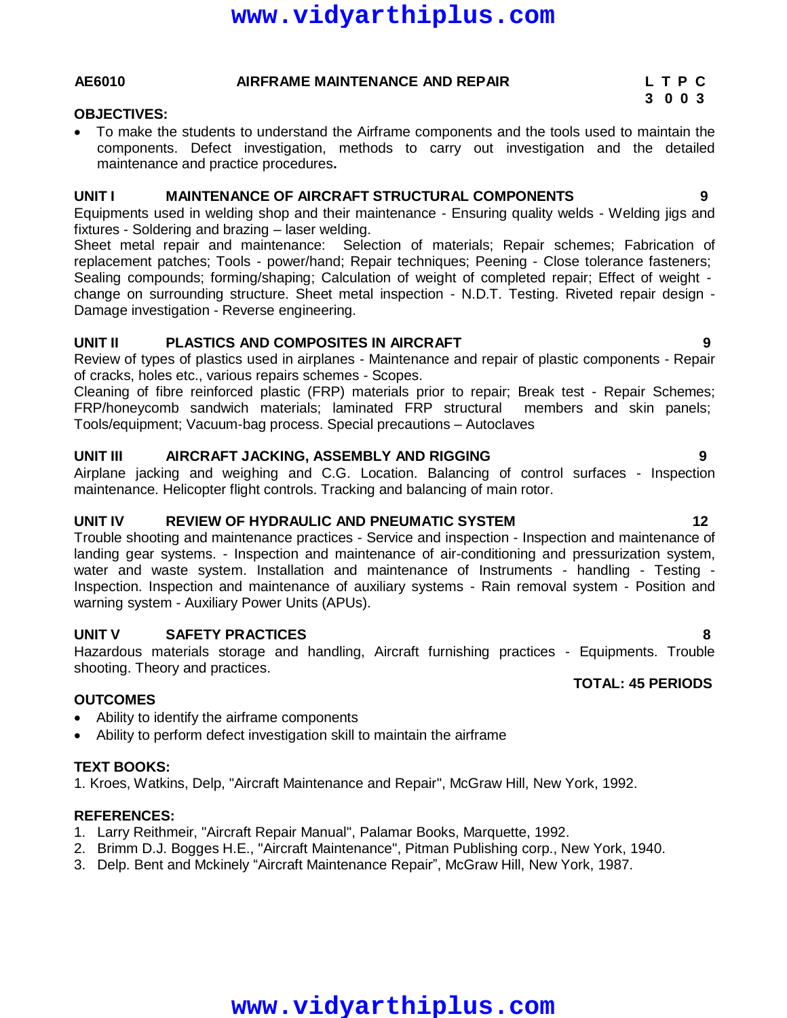#### **AE6010 AIRFRAME MAINTENANCE AND REPAIR L T P C**

#### **OBJECTIVES:**

 To make the students to understand the Airframe components and the tools used to maintain the components. Defect investigation, methods to carry out investigation and the detailed maintenance and practice procedures**.**

#### **UNIT I MAINTENANCE OF AIRCRAFT STRUCTURAL COMPONENTS 9**

Equipments used in welding shop and their maintenance - Ensuring quality welds - Welding jigs and fixtures - Soldering and brazing – laser welding.

Sheet metal repair and maintenance: Selection of materials; Repair schemes; Fabrication of replacement patches; Tools - power/hand; Repair techniques; Peening - Close tolerance fasteners; Sealing compounds; forming/shaping; Calculation of weight of completed repair; Effect of weight change on surrounding structure. Sheet metal inspection - N.D.T. Testing. Riveted repair design - Damage investigation - Reverse engineering.

#### **UNIT II PLASTICS AND COMPOSITES IN AIRCRAFT 9**

Review of types of plastics used in airplanes - Maintenance and repair of plastic components - Repair of cracks, holes etc., various repairs schemes - Scopes.

Cleaning of fibre reinforced plastic (FRP) materials prior to repair; Break test - Repair Schemes; FRP/honeycomb sandwich materials; laminated FRP structural members and skin panels; Tools/equipment; Vacuum-bag process. Special precautions – Autoclaves

#### **UNIT III AIRCRAFT JACKING, ASSEMBLY AND RIGGING 9**

Airplane jacking and weighing and C.G. Location. Balancing of control surfaces - Inspection maintenance. Helicopter flight controls. Tracking and balancing of main rotor.

#### **UNIT IV REVIEW OF HYDRAULIC AND PNEUMATIC SYSTEM 12**

Trouble shooting and maintenance practices - Service and inspection - Inspection and maintenance of landing gear systems. - Inspection and maintenance of air-conditioning and pressurization system, water and waste system. Installation and maintenance of Instruments - handling - Testing - Inspection. Inspection and maintenance of auxiliary systems - Rain removal system - Position and warning system - Auxiliary Power Units (APUs).

#### **UNIT V SAFETY PRACTICES 8**

Hazardous materials storage and handling, Aircraft furnishing practices - Equipments. Trouble shooting. Theory and practices.

### **TOTAL: 45 PERIODS**

- Ability to identify the airframe components
- Ability to perform defect investigation skill to maintain the airframe

### **TEXT BOOKS:**

**OUTCOMES**

1. Kroes, Watkins, Delp, "Aircraft Maintenance and Repair", McGraw Hill, New York, 1992.

### **REFERENCES:**

- 1. Larry Reithmeir, "Aircraft Repair Manual", Palamar Books, Marquette, 1992.
- 2. Brimm D.J. Bogges H.E., "Aircraft Maintenance", Pitman Publishing corp., New York, 1940.
- 3. Delp. Bent and Mckinely "Aircraft Maintenance Repair", McGraw Hill, New York, 1987.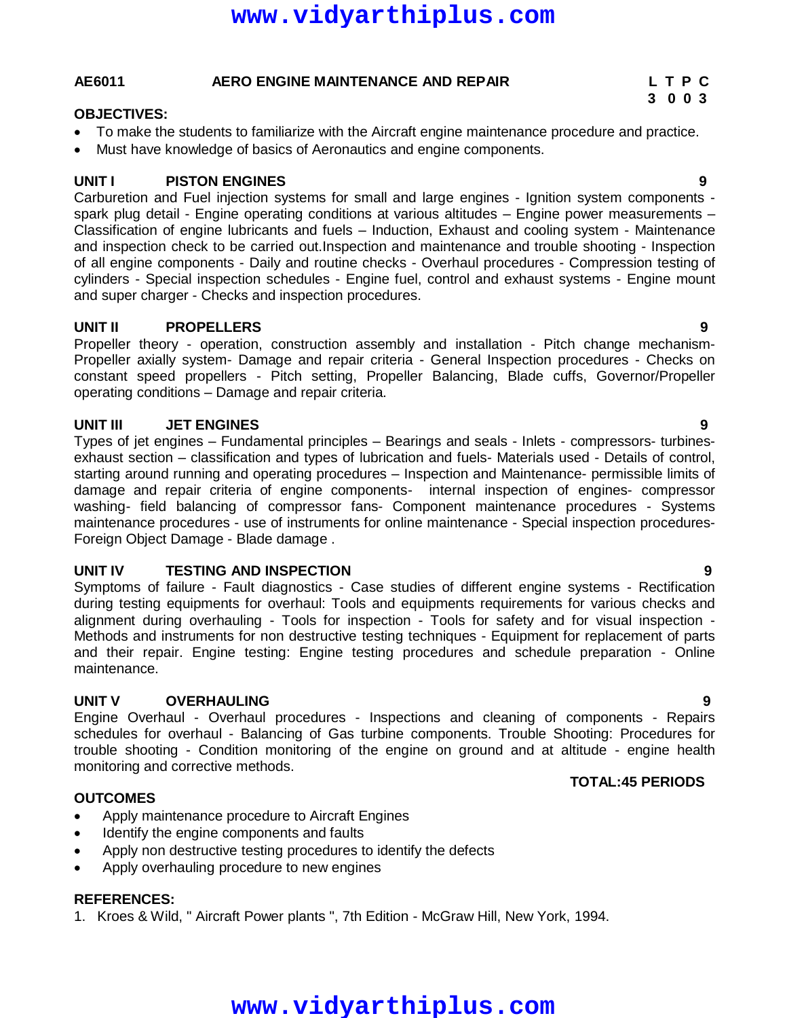#### **AE6011 AERO ENGINE MAINTENANCE AND REPAIR L T P C**

#### **OBJECTIVES:**

- To make the students to familiarize with the Aircraft engine maintenance procedure and practice.
- Must have knowledge of basics of Aeronautics and engine components.

#### **UNIT I PISTON ENGINES 9**

Carburetion and Fuel injection systems for small and large engines - Ignition system components spark plug detail - Engine operating conditions at various altitudes – Engine power measurements – Classification of engine lubricants and fuels – Induction, Exhaust and cooling system - Maintenance and inspection check to be carried out.Inspection and maintenance and trouble shooting - Inspection of all engine components - Daily and routine checks - Overhaul procedures - Compression testing of cylinders - Special inspection schedules - Engine fuel, control and exhaust systems - Engine mount and super charger - Checks and inspection procedures.

#### **UNIT II PROPELLERS 9**

Propeller theory - operation, construction assembly and installation - Pitch change mechanism-Propeller axially system- Damage and repair criteria - General Inspection procedures - Checks on constant speed propellers - Pitch setting, Propeller Balancing, Blade cuffs, Governor/Propeller operating conditions – Damage and repair criteria.

#### **UNIT III JET ENGINES 9**

Types of jet engines – Fundamental principles – Bearings and seals - Inlets - compressors- turbinesexhaust section – classification and types of lubrication and fuels- Materials used - Details of control, starting around running and operating procedures – Inspection and Maintenance- permissible limits of damage and repair criteria of engine components- internal inspection of engines- compressor washing- field balancing of compressor fans- Component maintenance procedures - Systems maintenance procedures - use of instruments for online maintenance - Special inspection procedures-Foreign Object Damage - Blade damage .

#### **UNIT IV TESTING AND INSPECTION 9**

Symptoms of failure - Fault diagnostics - Case studies of different engine systems - Rectification during testing equipments for overhaul: Tools and equipments requirements for various checks and alignment during overhauling - Tools for inspection - Tools for safety and for visual inspection - Methods and instruments for non destructive testing techniques - Equipment for replacement of parts and their repair. Engine testing: Engine testing procedures and schedule preparation - Online maintenance.

#### **UNIT V OVERHAULING 9**

Engine Overhaul - Overhaul procedures - Inspections and cleaning of components - Repairs schedules for overhaul - Balancing of Gas turbine components. Trouble Shooting: Procedures for trouble shooting - Condition monitoring of the engine on ground and at altitude - engine health monitoring and corrective methods.

#### **OUTCOMES**

- Apply maintenance procedure to Aircraft Engines
- Identify the engine components and faults
- Apply non destructive testing procedures to identify the defects
- Apply overhauling procedure to new engines

#### **REFERENCES:**

1. Kroes & Wild, " Aircraft Power plants ", 7th Edition - McGraw Hill, New York, 1994.

## **www.vidyarthiplus.com**

**TOTAL:45 PERIODS**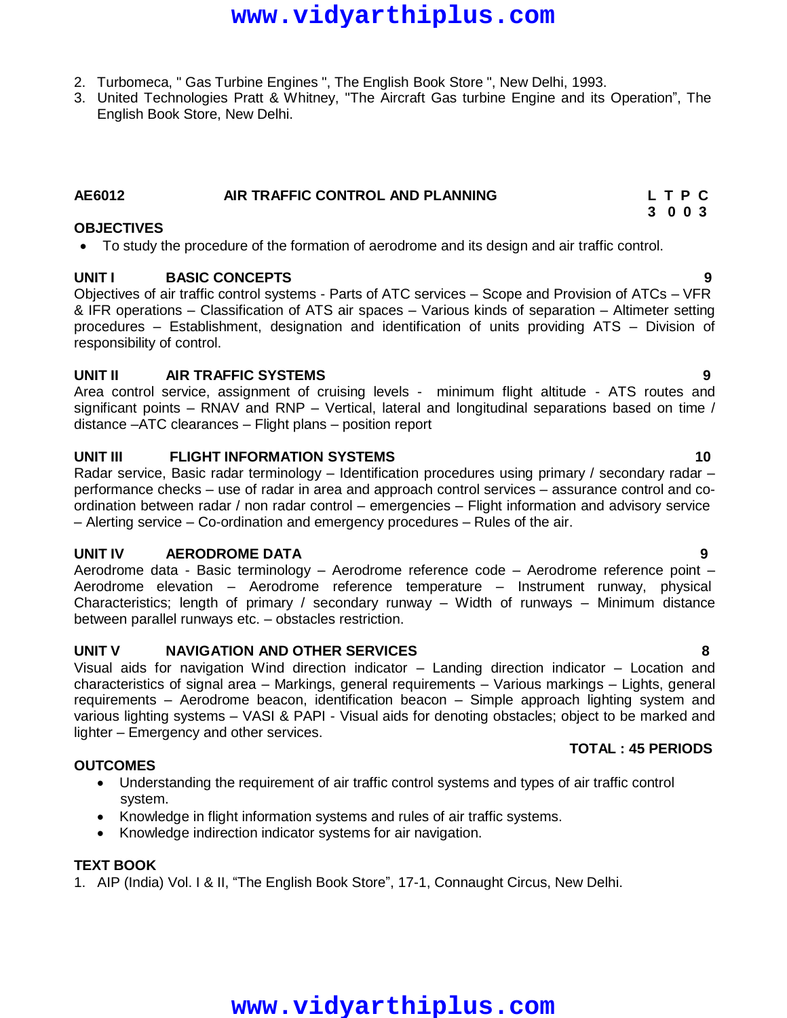- 2. Turbomeca, " Gas Turbine Engines ", The English Book Store ", New Delhi, 1993.
- 3. United Technologies Pratt & Whitney, "The Aircraft Gas turbine Engine and its Operation", The English Book Store, New Delhi.

#### **AE6012 AIR TRAFFIC CONTROL AND PLANNING L T P C**

#### **OBJECTIVES**

To study the procedure of the formation of aerodrome and its design and air traffic control.

#### **UNIT I BASIC CONCEPTS 9**

Objectives of air traffic control systems - Parts of ATC services – Scope and Provision of ATCs – VFR & IFR operations – Classification of ATS air spaces – Various kinds of separation – Altimeter setting procedures – Establishment, designation and identification of units providing ATS – Division of responsibility of control.

#### **UNIT II AIR TRAFFIC SYSTEMS 9**

Area control service, assignment of cruising levels - minimum flight altitude - ATS routes and significant points – RNAV and RNP – Vertical, lateral and longitudinal separations based on time / distance –ATC clearances – Flight plans – position report

#### **UNIT III FLIGHT INFORMATION SYSTEMS 10**

Radar service, Basic radar terminology - Identification procedures using primary / secondary radar performance checks – use of radar in area and approach control services – assurance control and coordination between radar / non radar control – emergencies – Flight information and advisory service – Alerting service – Co-ordination and emergency procedures – Rules of the air.

#### **UNIT IV AERODROME DATA 9**

Aerodrome data - Basic terminology – Aerodrome reference code – Aerodrome reference point – Aerodrome elevation – Aerodrome reference temperature – Instrument runway, physical Characteristics; length of primary / secondary runway – Width of runways – Minimum distance between parallel runways etc. – obstacles restriction.

#### **UNIT V NAVIGATION AND OTHER SERVICES 8**

Visual aids for navigation Wind direction indicator – Landing direction indicator – Location and characteristics of signal area – Markings, general requirements – Various markings – Lights, general requirements – Aerodrome beacon, identification beacon – Simple approach lighting system and various lighting systems – VASI & PAPI - Visual aids for denoting obstacles; object to be marked and lighter – Emergency and other services.

#### **OUTCOMES**

- Understanding the requirement of air traffic control systems and types of air traffic control system.
- Knowledge in flight information systems and rules of air traffic systems.
- Knowledge indirection indicator systems for air navigation.

#### **TEXT BOOK**

1. AIP (India) Vol. I & II, "The English Book Store", 17-1, Connaught Circus, New Delhi.

## **www.vidyarthiplus.com**